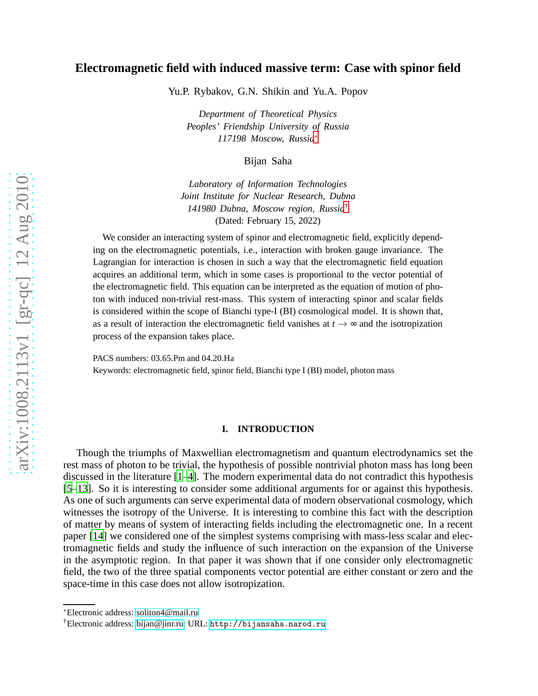## **Electromagnetic field with induced massive term: Case with spinor field**

Yu.P. Rybakov, G.N. Shikin and Yu.A. Popov

*Department of Theoretical Physics Peoples' Friendship University of Russia 117198 Moscow, Russia*[∗](#page-0-0)

Bijan Saha

*Laboratory of Information Technologies Joint Institute for Nuclear Research, Dubna 141980 Dubna, Moscow region, Russia*[†](#page-0-1) (Dated: February 15, 2022)

We consider an interacting system of spinor and electromagnetic field, explicitly depending on the electromagnetic potentials, i.e., interaction with broken gauge invariance. The Lagrangian for interaction is chosen in such a way that the electromagnetic field equation acquires an additional term, which in some cases is proportional to the vector potential of the electromagnetic field. This equation can be interpreted as the equation of motion of photon with induced non-trivial rest-mass. This system of interacting spinor and scalar fields is considered within the scope of Bianchi type-I (BI) cosmological model. It is shown that, as a result of interaction the electromagnetic field vanishes at  $t \rightarrow \infty$  and the isotropization process of the expansion takes place.

PACS numbers: 03.65.Pm and 04.20.Ha Keywords: electromagnetic field, spinor field, Bianchi type I (BI) model, photon mass

#### **I. INTRODUCTION**

Though the triumphs of Maxwellian electromagnetism and quantum electrodynamics set the rest mass of photon to be trivial, the hypothesis of possible nontrivial photon mass has long been discussed in the literature [\[1](#page-6-0)[–4\]](#page-6-1). The modern experimental data do not contradict this hypothesis [\[5](#page-6-2)[–13\]](#page-7-0). So it is interesting to consider some additional arguments for or against this hypothesis. As one of such arguments can serve experimental data of modern observational cosmology, which witnesses the isotropy of the Universe. It is interesting to combine this fact with the description of matter by means of system of interacting fields including the electromagnetic one. In a recent paper [\[14\]](#page-7-1) we considered one of the simplest systems comprising with mass-less scalar and electromagnetic fields and study the influence of such interaction on the expansion of the Universe in the asymptotic region. In that paper it was shown that if one consider only electromagnetic field, the two of the three spatial components vector potential are either constant or zero and the space-time in this case does not allow isotropization.

<span id="page-0-0"></span><sup>∗</sup>Electronic address: [soliton4@mail.ru](mailto:soliton4@mail.ru)

<span id="page-0-1"></span><sup>†</sup>Electronic address: [bijan@jinr.ru;](mailto:bijan@jinr.ru) URL: <http://bijansaha.narod.ru>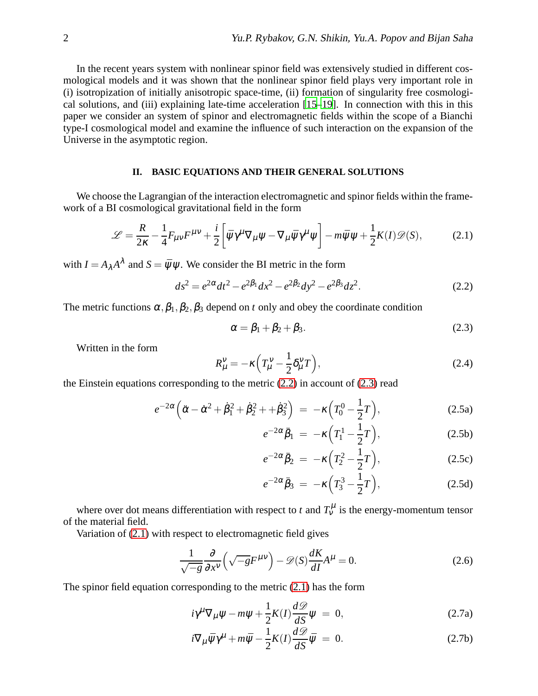In the recent years system with nonlinear spinor field was extensively studied in different cosmological models and it was shown that the nonlinear spinor field plays very important role in (i) isotropization of initially anisotropic space-time, (ii) formation of singularity free cosmological solutions, and (iii) explaining late-time acceleration [\[15](#page-7-2)[–19\]](#page-7-3). In connection with this in this paper we consider an system of spinor and electromagnetic fields within the scope of a Bianchi type-I cosmological model and examine the influence of such interaction on the expansion of the Universe in the asymptotic region.

### **II. BASIC EQUATIONS AND THEIR GENERAL SOLUTIONS**

We choose the Lagrangian of the interaction electromagnetic and spinor fields within the framework of a BI cosmological gravitational field in the form

<span id="page-1-2"></span>
$$
\mathcal{L} = \frac{R}{2\kappa} - \frac{1}{4} F_{\mu\nu} F^{\mu\nu} + \frac{i}{2} \left[ \bar{\psi} \gamma^{\mu} \nabla_{\mu} \psi - \nabla_{\mu} \bar{\psi} \gamma^{\mu} \psi \right] - m \bar{\psi} \psi + \frac{1}{2} K(I) \mathcal{D}(S), \tag{2.1}
$$

with  $I = A_{\lambda} A^{\lambda}$  and  $S = \bar{\psi} \psi$ . We consider the BI metric in the form

<span id="page-1-0"></span>
$$
ds^{2} = e^{2\alpha}dt^{2} - e^{2\beta_{1}}dx^{2} - e^{2\beta_{2}}dy^{2} - e^{2\beta_{3}}dz^{2}.
$$
 (2.2)

The metric functions  $\alpha$ ,  $\beta_1$ ,  $\beta_2$ ,  $\beta_3$  depend on *t* only and obey the coordinate condition

<span id="page-1-1"></span>
$$
\alpha = \beta_1 + \beta_2 + \beta_3. \tag{2.3}
$$

Written in the form

$$
R^{\nu}_{\mu} = -\kappa \left( T^{\nu}_{\mu} - \frac{1}{2} \delta^{\nu}_{\mu} T \right), \tag{2.4}
$$

the Einstein equations corresponding to the metric  $(2.2)$  in account of  $(2.3)$  read

$$
e^{-2\alpha} \left( \ddot{\alpha} - \dot{\alpha}^2 + \dot{\beta}_1^2 + \dot{\beta}_2^2 + \dot{\beta}_3^2 \right) = -\kappa \left( T_0^0 - \frac{1}{2} T \right), \tag{2.5a}
$$

$$
e^{-2\alpha}\ddot{\beta}_1 = -\kappa \left(T_1^1 - \frac{1}{2}T\right),\tag{2.5b}
$$

$$
e^{-2\alpha}\ddot{\beta}_2 = -\kappa \left(T_2^2 - \frac{1}{2}T\right),\tag{2.5c}
$$

$$
e^{-2\alpha}\ddot{\beta}_3 = -\kappa \left(T_3^3 - \frac{1}{2}T\right),\tag{2.5d}
$$

where over dot means differentiation with respect to *t* and  $T_v^{\mu}$  is the energy-momentum tensor of the material field.

Variation of [\(2.1\)](#page-1-2) with respect to electromagnetic field gives

<span id="page-1-3"></span>
$$
\frac{1}{\sqrt{-g}}\frac{\partial}{\partial x^{\nu}}\left(\sqrt{-g}F^{\mu\nu}\right) - \mathcal{D}(S)\frac{dK}{dI}A^{\mu} = 0.
$$
 (2.6)

The spinor field equation corresponding to the metric [\(2.1\)](#page-1-2) has the form

$$
i\gamma^{\mu}\nabla_{\mu}\psi - m\psi + \frac{1}{2}K(I)\frac{d\mathcal{D}}{dS}\psi = 0, \qquad (2.7a)
$$

$$
i\nabla_{\mu}\bar{\psi}\gamma^{\mu} + m\bar{\psi} - \frac{1}{2}K(I)\frac{d\mathcal{D}}{dS}\bar{\psi} = 0.
$$
 (2.7b)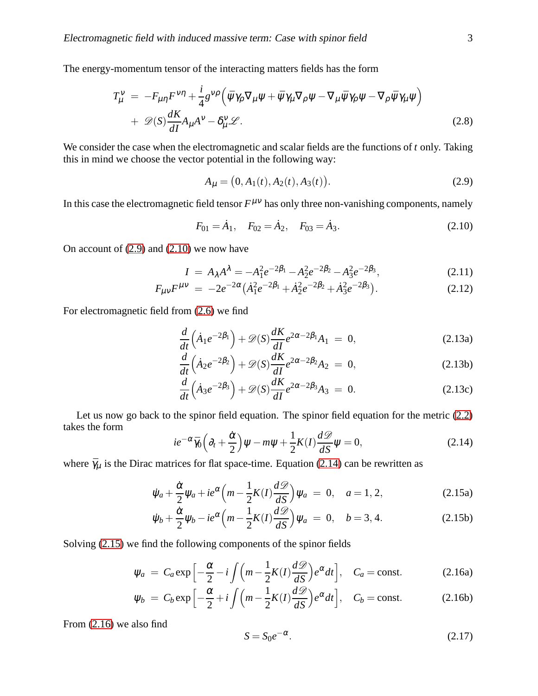The energy-momentum tensor of the interacting matters fields has the form

<span id="page-2-5"></span>
$$
T^{\nu}_{\mu} = -F_{\mu\eta}F^{\nu\eta} + \frac{i}{4}g^{\nu\rho}\left(\bar{\psi}\gamma_{\rho}\nabla_{\mu}\psi + \bar{\psi}\gamma_{\mu}\nabla_{\rho}\psi - \nabla_{\mu}\bar{\psi}\gamma_{\rho}\psi - \nabla_{\rho}\bar{\psi}\gamma_{\mu}\psi\right) + \mathscr{D}(S)\frac{dK}{dI}A_{\mu}A^{\nu} - \delta^{\nu}_{\mu}\mathscr{L}.
$$
 (2.8)

We consider the case when the electromagnetic and scalar fields are the functions of *t* only. Taking this in mind we choose the vector potential in the following way:

<span id="page-2-0"></span>
$$
A_{\mu} = (0, A_1(t), A_2(t), A_3(t)).
$$
\n(2.9)

In this case the electromagnetic field tensor  $F^{\mu\nu}$  has only three non-vanishing components, namely

<span id="page-2-1"></span>
$$
F_{01} = \dot{A}_1, \quad F_{02} = \dot{A}_2, \quad F_{03} = \dot{A}_3. \tag{2.10}
$$

On account of  $(2.9)$  and  $(2.10)$  we now have

$$
I = A_{\lambda}A^{\lambda} = -A_1^2 e^{-2\beta_1} - A_2^2 e^{-2\beta_2} - A_3^2 e^{-2\beta_3},
$$
 (2.11)

$$
F_{\mu\nu}F^{\mu\nu} = -2e^{-2\alpha}(\dot{A}_1^2e^{-2\beta_1} + \dot{A}_2^2e^{-2\beta_2} + \dot{A}_3^2e^{-2\beta_3}).
$$
 (2.12)

For electromagnetic field from [\(2.6\)](#page-1-3) we find

<span id="page-2-6"></span>
$$
\frac{d}{dt}\left(\dot{A}_1e^{-2\beta_1}\right) + \mathscr{D}(S)\frac{dK}{dl}e^{2\alpha - 2\beta_1}A_1 = 0, \qquad (2.13a)
$$

$$
\frac{d}{dt}\left(\dot{A}_2e^{-2\beta_2}\right) + \mathcal{D}(S)\frac{dK}{dI}e^{2\alpha - 2\beta_2}A_2 = 0, \qquad (2.13b)
$$

$$
\frac{d}{dt}\left(\dot{A}_3e^{-2\beta_3}\right) + \mathscr{D}(S)\frac{dK}{dI}e^{2\alpha - 2\beta_3}A_3 = 0.
$$
\n(2.13c)

Let us now go back to the spinor field equation. The spinor field equation for the metric  $(2.2)$ takes the form

<span id="page-2-2"></span>
$$
ie^{-\alpha}\bar{\gamma}_0\left(\partial_t+\frac{\dot{\alpha}}{2}\right)\psi-m\psi+\frac{1}{2}K(I)\frac{d\mathcal{D}}{dS}\psi=0,
$$
\n(2.14)

where  $\bar{\gamma}_\mu$  is the Dirac matrices for flat space-time. Equation [\(2.14\)](#page-2-2) can be rewritten as

$$
\dot{\psi}_a + \frac{\dot{\alpha}}{2} \psi_a + ie^{\alpha} \left( m - \frac{1}{2} K(I) \frac{d\mathcal{D}}{dS} \right) \psi_a = 0, \quad a = 1, 2,
$$
\n(2.15a)

$$
\dot{\psi}_b + \frac{\dot{\alpha}}{2} \psi_b - ie^{\alpha} \left( m - \frac{1}{2} K(I) \frac{d\mathcal{D}}{dS} \right) \psi_a = 0, \quad b = 3, 4.
$$
 (2.15b)

Solving [\(2.15\)](#page-2-3) we find the following components of the spinor fields

$$
\psi_a = C_a \exp\left[-\frac{\alpha}{2} - i \int \left(m - \frac{1}{2}K(I)\frac{d\mathcal{D}}{dS}\right)e^{\alpha}dt\right], \quad C_a = \text{const.}
$$
 (2.16a)

$$
\psi_b = C_b \exp\left[-\frac{\alpha}{2} + i \int \left(m - \frac{1}{2}K(I)\frac{d\mathcal{D}}{dS}\right)e^{\alpha}dt\right], \quad C_b = \text{const.}
$$
 (2.16b)

From [\(2.16\)](#page-2-4) we also find

<span id="page-2-4"></span><span id="page-2-3"></span>
$$
S = S_0 e^{-\alpha}.
$$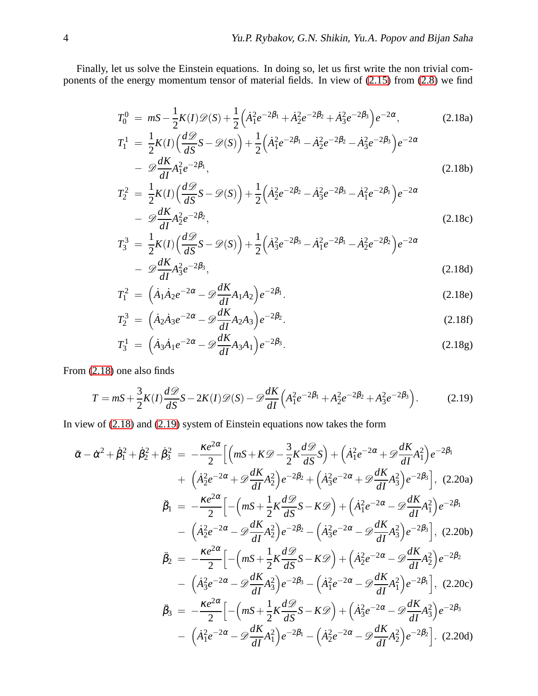<span id="page-3-0"></span>Finally, let us solve the Einstein equations. In doing so, let us first write the non trivial components of the energy momentum tensor of material fields. In view of [\(2.15\)](#page-2-3) from [\(2.8\)](#page-2-5) we find

$$
T_0^0 = mS - \frac{1}{2}K(I)\mathcal{D}(S) + \frac{1}{2}\left(\dot{A}_1^2e^{-2\beta_1} + \dot{A}_2^2e^{-2\beta_2} + \dot{A}_3^2e^{-2\beta_3}\right)e^{-2\alpha},\tag{2.18a}
$$
  
\n
$$
T_1^1 = \frac{1}{2}K(I)\left(\frac{d\mathcal{D}}{dS}S - \mathcal{D}(S)\right) + \frac{1}{2}\left(\dot{A}_1^2e^{-2\beta_1} - \dot{A}_2^2e^{-2\beta_2} - \dot{A}_3^2e^{-2\beta_3}\right)e^{-2\alpha}
$$
  
\n
$$
-\mathcal{D}\frac{dK}{dI}A_1^2e^{-2\beta_1},\tag{2.18b}
$$
  
\n
$$
T_2^2 = \frac{1}{2}K(I)\left(\frac{d\mathcal{D}}{dS}S - \mathcal{D}(S)\right) + \frac{1}{2}\left(\dot{A}_2^2e^{-2\beta_2} - \dot{A}_3^2e^{-2\beta_3} - \dot{A}_1^2e^{-2\beta_1}\right)e^{-2\alpha}
$$

$$
- \mathcal{D}\frac{dK}{dI}A_2^2e^{-2\beta_2},\tag{2.18c}
$$

$$
T_3^3 = \frac{1}{2}K(I)\left(\frac{d\mathcal{D}}{dS}S - \mathcal{D}(S)\right) + \frac{1}{2}\left(\dot{A}_3^2e^{-2\beta_3} - \dot{A}_1^2e^{-2\beta_1} - \dot{A}_2^2e^{-2\beta_2}\right)e^{-2\alpha} - \mathcal{D}\frac{dK}{dI}A_3^2e^{-2\beta_3},
$$
\n(2.18d)

$$
T_1^2 = (\dot{A}_1 \dot{A}_2 e^{-2\alpha} - \mathcal{D} \frac{dK}{dI} A_1 A_2) e^{-2\beta_1}.
$$
 (2.18e)

$$
T_2^3 = \left(\dot{A}_2 \dot{A}_3 e^{-2\alpha} - \mathscr{D}\frac{dK}{dI} A_2 A_3\right) e^{-2\beta_2}.
$$
 (2.18f)

$$
T_3^1 = (\dot{A}_3 \dot{A}_1 e^{-2\alpha} - \mathscr{D}\frac{dK}{dI} A_3 A_1) e^{-2\beta_3}.
$$
 (2.18g)

From [\(2.18\)](#page-3-0) one also finds

<span id="page-3-1"></span>
$$
T = mS + \frac{3}{2}K(I)\frac{d\mathcal{D}}{dS}S - 2K(I)\mathcal{D}(S) - \mathcal{D}\frac{dK}{dI}\left(A_1^2e^{-2\beta_1} + A_2^2e^{-2\beta_2} + A_3^2e^{-2\beta_3}\right).
$$
 (2.19)

In view of [\(2.18\)](#page-3-0) and [\(2.19\)](#page-3-1) system of Einstein equations now takes the form

$$
\ddot{\alpha} - \dot{\alpha}^{2} + \dot{\beta}_{1}^{2} + \dot{\beta}_{2}^{2} = -\frac{\kappa e^{2\alpha}}{2} \Big[ \Big( mS + K\mathcal{D} - \frac{3}{2}K\frac{d\mathcal{D}}{dS}S \Big) + \Big( \dot{A}_{1}^{2}e^{-2\alpha} + \mathcal{D}\frac{dK}{dI}A_{1}^{2} \Big) e^{-2\beta_{1}} \n+ \Big( \dot{A}_{2}^{2}e^{-2\alpha} + \mathcal{D}\frac{dK}{dI}A_{2}^{2} \Big) e^{-2\beta_{2}} + \Big( \dot{A}_{3}^{2}e^{-2\alpha} + \mathcal{D}\frac{dK}{dI}A_{3}^{2} \Big) e^{-2\beta_{3}} \Big], (2.20a) \n\ddot{\beta}_{1} = -\frac{\kappa e^{2\alpha}}{2} \Big[ -\Big( mS + \frac{1}{2}K\frac{d\mathcal{D}}{dS}S - K\mathcal{D} \Big) + \Big( \dot{A}_{1}^{2}e^{-2\alpha} - \mathcal{D}\frac{dK}{dI}A_{1}^{2} \Big) e^{-2\beta_{1}} \n- \Big( \dot{A}_{2}^{2}e^{-2\alpha} - \mathcal{D}\frac{dK}{dI}A_{2}^{2} \Big) e^{-2\beta_{2}} - \Big( \dot{A}_{3}^{2}e^{-2\alpha} - \mathcal{D}\frac{dK}{dI}A_{3}^{2} \Big) e^{-2\beta_{3}} \Big], (2.20b) \n\ddot{\beta}_{2} = -\frac{\kappa e^{2\alpha}}{2} \Big[ -\Big( mS + \frac{1}{2}K\frac{d\mathcal{D}}{dS}S - K\mathcal{D} \Big) + \Big( \dot{A}_{2}^{2}e^{-2\alpha} - \mathcal{D}\frac{dK}{dI}A_{2}^{2} \Big) e^{-2\beta_{2}} \n- \Big( \dot{A}_{3}^{2}e^{-2\alpha} - \mathcal{D}\frac{dK}{dI}A_{3}^{2} \Big) e^{-2\beta_{3}} - \Big( \dot{A}_{1}^{2}e^{-2\alpha} - \mathcal{D}\frac{dK}{dI}A_{1}^{2} \Big) e^{-2\beta_{1}} \Big], (2.20c) <
$$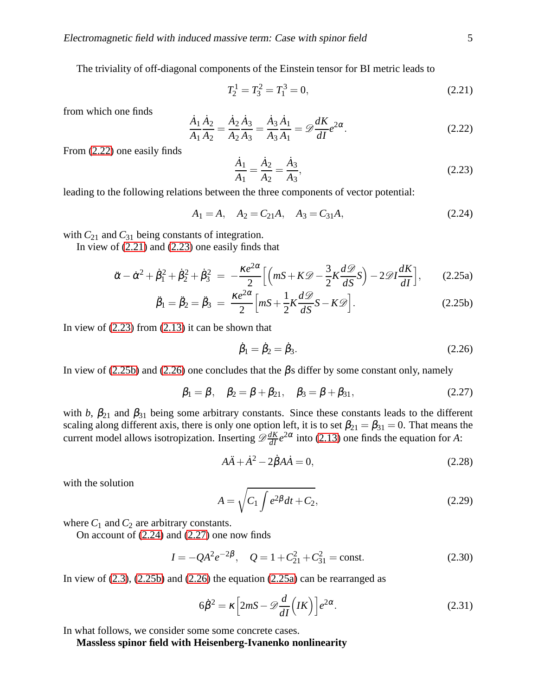The triviality of off-diagonal components of the Einstein tensor for BI metric leads to

<span id="page-4-1"></span>
$$
T_2^1 = T_3^2 = T_1^3 = 0,\t\t(2.21)
$$

from which one finds

<span id="page-4-0"></span>
$$
\frac{\dot{A}_1 \dot{A}_2}{A_1 \dot{A}_2} = \frac{\dot{A}_2 \dot{A}_3}{A_2 \dot{A}_3} = \frac{\dot{A}_3 \dot{A}_1}{A_3 \dot{A}_1} = \mathcal{D} \frac{dK}{dI} e^{2\alpha}.
$$
\n(2.22)

From [\(2.22\)](#page-4-0) one easily finds

<span id="page-4-2"></span>
$$
\frac{\dot{A}_1}{A_1} = \frac{\dot{A}_2}{A_2} = \frac{\dot{A}_3}{A_3},\tag{2.23}
$$

leading to the following relations between the three components of vector potential:

<span id="page-4-5"></span>
$$
A_1 = A, \quad A_2 = C_{21}A, \quad A_3 = C_{31}A,\tag{2.24}
$$

with  $C_{21}$  and  $C_{31}$  being constants of integration.

In view of  $(2.21)$  and  $(2.23)$  one easily finds that

<span id="page-4-3"></span>
$$
\ddot{\alpha} - \dot{\alpha}^2 + \dot{\beta}_1^2 + \dot{\beta}_2^2 + \dot{\beta}_3^2 = -\frac{\kappa e^{2\alpha}}{2} \Big[ \Big( mS + K\mathcal{D} - \frac{3}{2}K\frac{d\mathcal{D}}{dS}S \Big) - 2\mathcal{D}I\frac{dK}{dI} \Big],\tag{2.25a}
$$

$$
\ddot{\beta}_1 = \ddot{\beta}_2 = \ddot{\beta}_3 = \frac{\kappa e^{2\alpha}}{2} \Big[ mS + \frac{1}{2} K \frac{d\mathcal{D}}{dS} S - K \mathcal{D} \Big]. \tag{2.25b}
$$

In view of  $(2.23)$  from  $(2.13)$  it can be shown that

<span id="page-4-4"></span>
$$
\dot{\beta}_1 = \dot{\beta}_2 = \dot{\beta}_3. \tag{2.26}
$$

In view of [\(2.25b\)](#page-4-3) and [\(2.26\)](#page-4-4) one concludes that the  $\beta$ s differ by some constant only, namely

<span id="page-4-6"></span>
$$
\beta_1 = \beta, \quad \beta_2 = \beta + \beta_{21}, \quad \beta_3 = \beta + \beta_{31},
$$
\n(2.27)

with *b*,  $\beta_{21}$  and  $\beta_{31}$  being some arbitrary constants. Since these constants leads to the different scaling along different axis, there is only one option left, it is to set  $\beta_{21} = \beta_{31} = 0$ . That means the current model allows isotropization. Inserting  $\mathscr{D}\frac{dK}{dI}e^{2\alpha}$  into [\(2.13\)](#page-2-6) one finds the equation for *A*:

$$
A\ddot{A} + \dot{A}^2 - 2\dot{\beta}A\dot{A} = 0, \qquad (2.28)
$$

with the solution

$$
A = \sqrt{C_1 \int e^{2\beta} dt + C_2},\tag{2.29}
$$

where  $C_1$  and  $C_2$  are arbitrary constants.

On account of [\(2.24\)](#page-4-5) and [\(2.27\)](#page-4-6) one now finds

<span id="page-4-7"></span>
$$
I = -QA^{2}e^{-2\beta}, \quad Q = 1 + C_{21}^{2} + C_{31}^{2} = \text{const.}
$$
 (2.30)

In view of  $(2.3)$ ,  $(2.25b)$  and  $(2.26)$  the equation  $(2.25a)$  can be rearranged as

<span id="page-4-8"></span>
$$
6\dot{\beta}^2 = \kappa \left[ 2mS - \mathcal{D}\frac{d}{dI} \left( IK \right) \right] e^{2\alpha}.
$$
 (2.31)

In what follows, we consider some some concrete cases.

**Massless spinor field with Heisenberg-Ivanenko nonlinearity**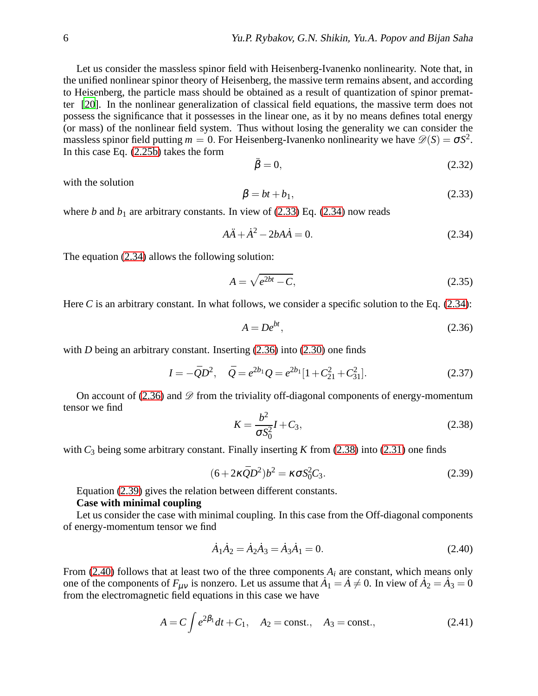Let us consider the massless spinor field with Heisenberg-Ivanenko nonlinearity. Note that, in the unified nonlinear spinor theory of Heisenberg, the massive term remains absent, and according to Heisenberg, the particle mass should be obtained as a result of quantization of spinor prematter [\[20](#page-7-4)]. In the nonlinear generalization of classical field equations, the massive term does not possess the significance that it possesses in the linear one, as it by no means defines total energy (or mass) of the nonlinear field system. Thus without losing the generality we can consider the massless spinor field putting  $m = 0$ . For Heisenberg-Ivanenko nonlinearity we have  $\mathcal{D}(S) = \sigma S^2$ . In this case Eq. [\(2.25b\)](#page-4-3) takes the form

$$
\ddot{\beta} = 0,\tag{2.32}
$$

with the solution

<span id="page-5-0"></span>
$$
\beta = bt + b_1,\tag{2.33}
$$

where *b* and  $b_1$  are arbitrary constants. In view of [\(2.33\)](#page-5-0) Eq. [\(2.34\)](#page-5-1) now reads

<span id="page-5-1"></span>
$$
A\ddot{A} + \dot{A}^2 - 2bA\dot{A} = 0. \tag{2.34}
$$

The equation [\(2.34\)](#page-5-1) allows the following solution:

$$
A = \sqrt{e^{2bt} - C},\tag{2.35}
$$

Here *C* is an arbitrary constant. In what follows, we consider a specific solution to the Eq. [\(2.34\)](#page-5-1):

<span id="page-5-2"></span>
$$
A = De^{bt},\tag{2.36}
$$

with *D* being an arbitrary constant. Inserting [\(2.36\)](#page-5-2) into [\(2.30\)](#page-4-7) one finds

$$
I = -\bar{Q}D^2, \quad \bar{Q} = e^{2b_1}Q = e^{2b_1}[1 + C_{21}^2 + C_{31}^2].
$$
 (2.37)

On account of [\(2.36\)](#page-5-2) and  $\mathscr D$  from the triviality off-diagonal components of energy-momentum tensor we find

<span id="page-5-3"></span>
$$
K = \frac{b^2}{\sigma S_0^2} I + C_3,
$$
\n(2.38)

with  $C_3$  being some arbitrary constant. Finally inserting *K* from [\(2.38\)](#page-5-3) into [\(2.31\)](#page-4-8) one finds

<span id="page-5-4"></span>
$$
(6+2\kappa \bar{Q}D^2)b^2 = \kappa \sigma S_0^2C_3.
$$

Equation [\(2.39\)](#page-5-4) gives the relation between different constants.

# **Case with minimal coupling**

Let us consider the case with minimal coupling. In this case from the Off-diagonal components of energy-momentum tensor we find

<span id="page-5-5"></span>
$$
\dot{A}_1 \dot{A}_2 = \dot{A}_2 \dot{A}_3 = \dot{A}_3 \dot{A}_1 = 0. \tag{2.40}
$$

From [\(2.40\)](#page-5-5) follows that at least two of the three components  $A_i$  are constant, which means only one of the components of  $F_{\mu\nu}$  is nonzero. Let us assume that  $A_1 = A \neq 0$ . In view of  $A_2 = A_3 = 0$ from the electromagnetic field equations in this case we have

$$
A = C \int e^{2\beta_1} dt + C_1, \quad A_2 = \text{const.}, \quad A_3 = \text{const.}, \tag{2.41}
$$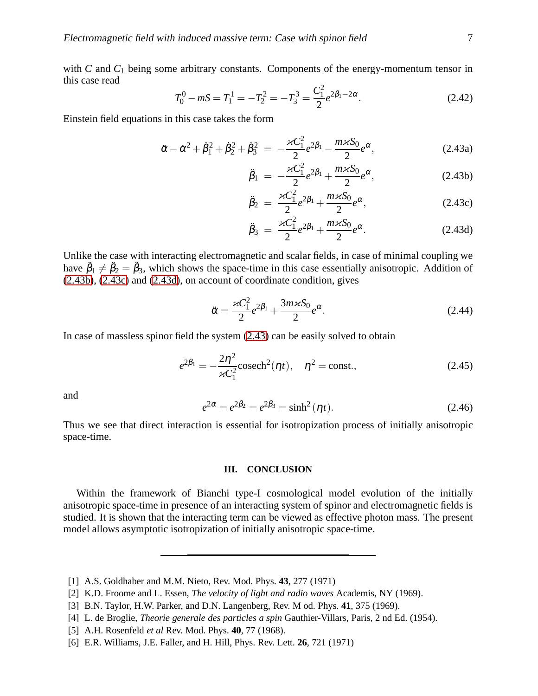with *C* and *C*<sub>1</sub> being some arbitrary constants. Components of the energy-momentum tensor in this case read

$$
T_0^0 - mS = T_1^1 = -T_2^2 = -T_3^3 = \frac{C_1^2}{2} e^{2\beta_1 - 2\alpha}.
$$
 (2.42)

Einstein field equations in this case takes the form

<span id="page-6-3"></span>
$$
\ddot{\alpha} - \dot{\alpha}^2 + \dot{\beta}_1^2 + \dot{\beta}_2^2 + \dot{\beta}_3^2 = -\frac{\varkappa C_1^2}{2} e^{2\beta_1} - \frac{m \varkappa S_0}{2} e^{\alpha}, \qquad (2.43a)
$$

<span id="page-6-4"></span>
$$
\ddot{\beta}_1 = -\frac{\varkappa C_1^2}{2} e^{2\beta_1} + \frac{m \varkappa S_0}{2} e^{\alpha}, \qquad (2.43b)
$$

$$
\ddot{\beta}_2 = \frac{\varkappa C_1^2}{2} e^{2\beta_1} + \frac{m\varkappa S_0}{2} e^{\alpha}, \qquad (2.43c)
$$

$$
\ddot{\beta}_3 = \frac{\varkappa C_1^2}{2} e^{2\beta_1} + \frac{m \varkappa S_0}{2} e^{\alpha}.
$$
 (2.43d)

Unlike the case with interacting electromagnetic and scalar fields, in case of minimal coupling we have  $\ddot{\beta}_1 \neq \ddot{\beta}_2 = \ddot{\beta}_3$ , which shows the space-time in this case essentially anisotropic. Addition of [\(2.43b\)](#page-6-3), [\(2.43c\)](#page-6-3) and [\(2.43d\)](#page-6-3), on account of coordinate condition, gives

$$
\ddot{\alpha} = \frac{\varkappa C_1^2}{2} e^{2\beta_1} + \frac{3m\varkappa S_0}{2} e^{\alpha}.
$$
\n(2.44)

In case of massless spinor field the system [\(2.43\)](#page-6-4) can be easily solved to obtain

$$
e^{2\beta_1} = -\frac{2\eta^2}{\varkappa C_1^2} \text{cosech}^2(\eta t), \quad \eta^2 = \text{const.},
$$
 (2.45)

and

$$
e^{2\alpha} = e^{2\beta_2} = e^{2\beta_3} = \sinh^2(\eta t). \tag{2.46}
$$

Thus we see that direct interaction is essential for isotropization process of initially anisotropic space-time.

### **III. CONCLUSION**

Within the framework of Bianchi type-I cosmological model evolution of the initially anisotropic space-time in presence of an interacting system of spinor and electromagnetic fields is studied. It is shown that the interacting term can be viewed as effective photon mass. The present model allows asymptotic isotropization of initially anisotropic space-time.

<span id="page-6-0"></span><sup>[1]</sup> A.S. Goldhaber and M.M. Nieto, Rev. Mod. Phys. **43**, 277 (1971)

<sup>[2]</sup> K.D. Froome and L. Essen, *The velocity of light and radio waves* Academis, NY (1969).

<sup>[3]</sup> B.N. Taylor, H.W. Parker, and D.N. Langenberg, Rev. M od. Phys. **41**, 375 (1969).

<span id="page-6-1"></span><sup>[4]</sup> L. de Broglie, *Theorie generale des particles a spin* Gauthier-Villars, Paris, 2 nd Ed. (1954).

<span id="page-6-2"></span><sup>[5]</sup> A.H. Rosenfeld *et al* Rev. Mod. Phys. **40**, 77 (1968).

<sup>[6]</sup> E.R. Williams, J.E. Faller, and H. Hill, Phys. Rev. Lett. **26**, 721 (1971)